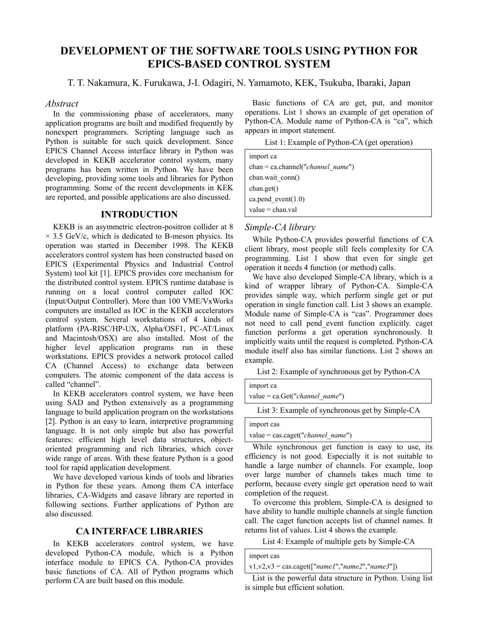# **DEVELOPMENT OF THE SOFTWARE TOOLS USING PYTHON FOR EPICS-BASED CONTROL SYSTEM**

T. T. Nakamura, K. Furukawa, J-I. Odagiri, N. Yamamoto, KEK, Tsukuba, Ibaraki, Japan

### *Abstract*

In the commissioning phase of accelerators, many application programs are built and modified frequently by nonexpert programmers. Scripting language such as Python is suitable for such quick development. Since EPICS Channel Access interface library in Python was developed in KEKB accelerator control system, many programs has been written in Python. We have been developing, providing some tools and libraries for Python programming. Some of the recent developments in KEK are reported, and possible applications are also discussed.

# **INTRODUCTION**

KEKB is an asymmetric electron-positron collider at 8  $\times$  3.5 GeV/c, which is dedicated to B-meson physics. Its operation was started in December 1998. The KEKB accelerators control system has been constructed based on EPICS (Experimental Physics and Industrial Control System) tool kit [1]. EPICS provides core mechanism for the distributed control system. EPICS runtime database is running on a local control computer called IOC (Input/Output Controller). More than 100 VME/VxWorks computers are installed as IOC in the KEKB accelerators control system. Several workstations of 4 kinds of platform (PA-RISC/HP-UX, Alpha/OSF1, PC-AT/Linux and Macintosh/OSX) are also installed. Most of the higher level application programs run in these workstations. EPICS provides a network protocol called CA (Channel Access) to exchange data between computers. The atomic component of the data access is called "channel".

In KEKB accelerators control system, we have been using SAD and Python extensively as a programming language to build application program on the workstations [2]. Python is an easy to learn, interpretive programming language. It is not only simple but also has powerful features: efficient high level data structures, objectoriented programming and rich libraries, which cover wide range of areas. With these feature Python is a good tool for rapid application development.

We have developed various kinds of tools and libraries in Python for these years. Among them CA interface libraries, CA-Widgets and casave library are reported in following sections. Further applications of Python are also discussed.

# **CA INTERFACE LIBRARIES**

In KEKB accelerators control system, we have developed Python-CA module, which is a Python interface module to EPICS CA. Python-CA provides basic functions of CA. All of Python programs which perform CA are built based on this module.

Basic functions of CA are get, put, and monitor operations. List 1 shows an example of get operation of Python-CA. Module name of Python-CA is "ca", which appears in import statement.

List 1: Example of Python-CA (get operation)

| import ca                           |  |  |
|-------------------------------------|--|--|
| $chan = ca.channel("channel name")$ |  |  |
| chan.wait conn()                    |  |  |
| chan.get()                          |  |  |
| ca.pend event( $1.0$ )              |  |  |
| $value = chan.val$                  |  |  |

# *Simple-CA library*

While Python-CA provides powerful functions of CA client library, most people still feels complexity for CA programming. List 1 show that even for single get operation it needs 4 function (or method) calls.

We have also developed Simple-CA library, which is a kind of wrapper library of Python-CA. Simple-CA provides simple way, which perform single get or put operation in single function call. List 3 shows an example. Module name of Simple-CA is "cas". Programmer does not need to call pend\_event function explicitly. caget function performs a get operation synchronously. It implicitly waits until the request is completed. Python-CA module itself also has similar functions. List 2 shows an example.

List 2: Example of synchronous get by Python-CA

| import ca                        |  |
|----------------------------------|--|
| value = $ca.Get("channel name")$ |  |
|                                  |  |

List 3: Example of synchronous get by Simple-CA

import cas

value = cas.caget("*channel\_name*")

While synchronous get function is easy to use, its efficiency is not good. Especially it is not suitable to handle a large number of channels. For example, loop over large number of channels takes much time to perform, because every single get operation need to wait completion of the request.

To overcome this problem, Simple-CA is designed to have ability to handle multiple channels at single function call. The caget function accepts list of channel names. It returns list of values. List 4 shows the example.

List 4: Example of multiple gets by Simple-CA

| import cas                                                           |  |
|----------------------------------------------------------------------|--|
| $v1, v2, v3 = \text{cas.caget}(\text{[} "name1", "name2", "name3"])$ |  |

List is the powerful data structure in Python. Using list is simple but efficient solution.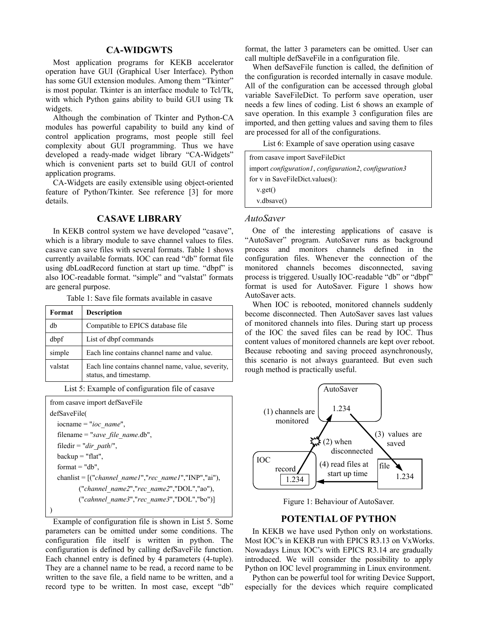# **CA-WIDGWTS**

Most application programs for KEKB accelerator operation have GUI (Graphical User Interface). Python has some GUI extension modules. Among them "Tkinter" is most popular. Tkinter is an interface module to Tcl/Tk, with which Python gains ability to build GUI using Tk widgets.

Although the combination of Tkinter and Python-CA modules has powerful capability to build any kind of control application programs, most people still feel complexity about GUI programming. Thus we have developed a ready-made widget library "CA-Widgets" which is convenient parts set to build GUI of control application programs.

CA-Widgets are easily extensible using object-oriented feature of Python/Tkinter. See reference [3] for more details.

#### **CASAVE LIBRARY**

In KEKB control system we have developed "casave", which is a library module to save channel values to files. casave can save files with several formats. Table 1 shows currently available formats. IOC can read "db" format file using dbLoadRecord function at start up time. "dbpf" is also IOC-readable format. "simple" and "valstat" formats are general purpose.

Table 1: Save file formats available in casave

| Format  | <b>Description</b>                                                          |
|---------|-----------------------------------------------------------------------------|
| db      | Compatible to EPICS database file                                           |
| dbpf    | List of dbpf commands                                                       |
| simple  | Each line contains channel name and value.                                  |
| valstat | Each line contains channel name, value, severity,<br>status, and timestamp. |

List 5: Example of configuration file of casave

```
from casave import defSaveFile 
defSaveFile( 
   iocname = "ioc_name", 
   filename = "save_file_name.db", 
   filedir = "dir_path/", 
  \text{backup} = \text{"flat"},
  format = "db". chanlist = [("channel_name1","rec_name1","INP","ai"), 
           ("channel_name2","rec_name2","DOL","ao"), 
           ("cahnnel_name3","rec_name3","DOL","bo")] 
)
```
Example of configuration file is shown in List 5. Some parameters can be omitted under some conditions. The configuration file itself is written in python. The configuration is defined by calling defSaveFile function. Each channel entry is defined by 4 parameters (4-tuple). They are a channel name to be read, a record name to be written to the save file, a field name to be written, and a record type to be written. In most case, except "db"

format, the latter 3 parameters can be omitted. User can call multiple defSaveFile in a configuration file.

When defSaveFile function is called, the definition of the configuration is recorded internally in casave module. All of the configuration can be accessed through global variable SaveFileDict. To perform save operation, user needs a few lines of coding. List 6 shows an example of save operation. In this example 3 configuration files are imported, and then getting values and saving them to files are processed for all of the configurations.

List 6: Example of save operation using casave

from casave import SaveFileDict import *configuration1*, *configuration2*, *configuration3* for v in SaveFileDict.values(): v.get() v.dbsave()

#### *AutoSaver*

One of the interesting applications of casave is "AutoSaver" program. AutoSaver runs as background process and monitors channels defined in the configuration files. Whenever the connection of the monitored channels becomes disconnected, saving process is triggered. Usually IOC-readable "db" or "dbpf" format is used for AutoSaver. Figure 1 shows how AutoSaver acts.

When IOC is rebooted, monitored channels suddenly become disconnected. Then AutoSaver saves last values of monitored channels into files. During start up process of the IOC the saved files can be read by IOC. Thus content values of monitored channels are kept over reboot. Because rebooting and saving proceed asynchronously, this scenario is not always guaranteed. But even such rough method is practically useful.



Figure 1: Behaviour of AutoSaver.

# **POTENTIAL OF PYTHON**

In KEKB we have used Python only on workstations. Most IOC's in KEKB run with EPICS R3.13 on VxWorks. Nowadays Linux IOC's with EPICS R3.14 are gradually introduced. We will consider the possibility to apply Python on IOC level programming in Linux environment.

Python can be powerful tool for writing Device Support, especially for the devices which require complicated